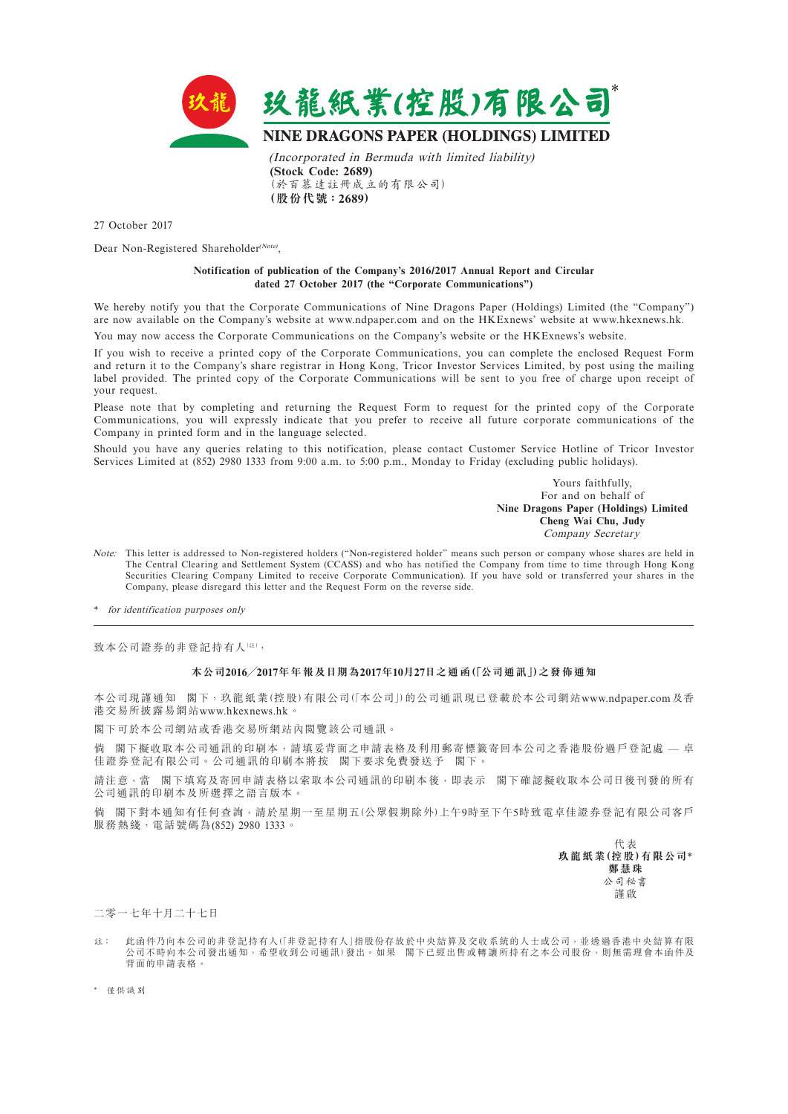

27 October 2017

Dear Non-Registered Shareholder<sup>(Note)</sup>,

## **Notification of publication of the Company's 2016/2017 Annual Report and Circular dated 27 October 2017 (the "Corporate Communications")**

We hereby notify you that the Corporate Communications of Nine Dragons Paper (Holdings) Limited (the "Company") are now available on the Company's website at www.ndpaper.com and on the HKExnews' website at www.hkexnews.hk.

You may now access the Corporate Communications on the Company's website or the HKExnews's website.

If you wish to receive a printed copy of the Corporate Communications, you can complete the enclosed Request Form and return it to the Company's share registrar in Hong Kong, Tricor Investor Services Limited, by post using the mailing label provided. The printed copy of the Corporate Communications will be sent to you free of charge upon receipt of your request.

Please note that by completing and returning the Request Form to request for the printed copy of the Corporate Communications, you will expressly indicate that you prefer to receive all future corporate communications of the Company in printed form and in the language selected.

Should you have any queries relating to this notification, please contact Customer Service Hotline of Tricor Investor Services Limited at (852) 2980 1333 from 9:00 a.m. to 5:00 p.m., Monday to Friday (excluding public holidays).

> Yours faithfully, For and on behalf of **Nine Dragons Paper (Holdings) Limited Cheng Wai Chu, Judy** Company Secretary

Note: This letter is addressed to Non-registered holders ("Non-registered holder" means such person or company whose shares are held in The Central Clearing and Settlement System (CCASS) and who has notified the Company from time to time through Hong Kong Securities Clearing Company Limited to receive Corporate Communication). If you have sold or transferred your shares in the Company, please disregard this letter and the Request Form on the reverse side.

\* for identification purposes only

致本公司證券的非登記持有人(註),

## **本公司2016╱2017年年報及日期為2017年10月27日之通函(「公司通訊」)之發佈通知**

本公司現謹通知 閣下,玖龍紙業(控股)有限公司(「本公司」)的公司通訊現已登載於本公司網站www.ndpaper.com及香 港交易所披露易網站www.hkexnews.hk。

閣下可於本公司網站或香港交易所網站內閱覽該公司通訊。

倘 閣下擬收取本公司通訊的印刷本,請填妥背面之申請表格及利用郵寄標籤寄回本公司之香港股份過戶登記處 — 卓 佳證券登記有限公司。公司通訊的印刷本將按 閣下要求免費發送予 閣下。

請注意,當 閣下填寫及寄回申請表格以索取本公司通訊的印刷本後,即表示 閣下確認擬收取本公司日後刊發的所有 公司通訊的印刷本及所選擇之語言版本。

倘 閣下對本通知有任何查詢,請於星期一至星期五(公眾假期除外)上午9時至下午5時致電卓佳證券登記有限公司客戶 服務熱綫,電話號碼為(852) 2980 1333。

> 代表 **玖龍紙業(控股)有限公司**\* **鄭慧珠** 公司秘書 謹啟

二零一七年十月二十七日

註: 此函件乃向本公司的非登記持有人(「非登記持有人」指股份存放於中央結算及交收系統的人士或公司,並透過香港中央結算有限 公司不時向本公司發出通知,希望收到公司通訊)發出。如果 閣下已經出售或轉讓所持有之本公司股份,則無需理會本函件及 背面的申請表格。

\* 僅供識別